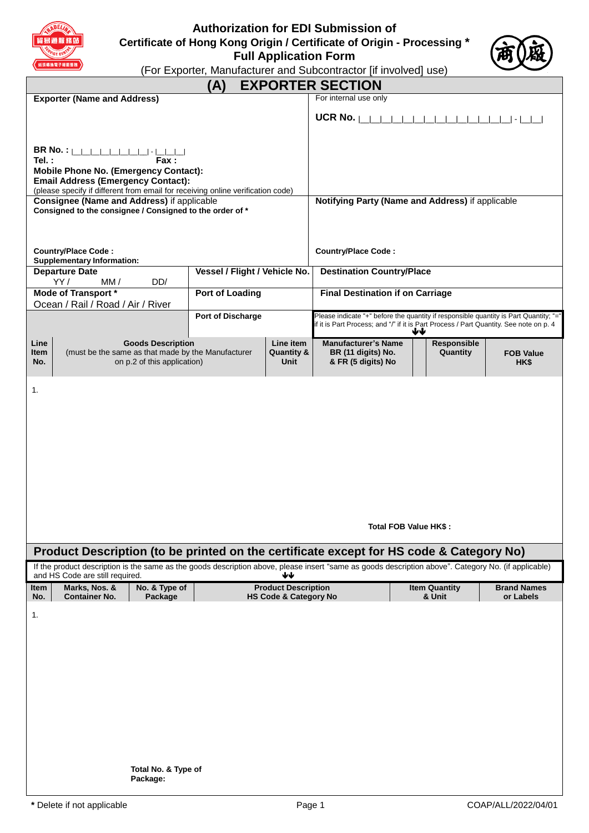

# **Authorization for EDI Submission of Certificate of Hong Kong Origin / Certificate of Origin - Processing \* Full Application Form**



(For Exporter, Manufacturer and Subcontractor [if involved] use)

| (For Exporter, Manufacturer and Subcontractor [ii involved] use)                                                                                                                                                                                             |                                                                |                                            |                                                                                                                                                                                 |                                |                                 |
|--------------------------------------------------------------------------------------------------------------------------------------------------------------------------------------------------------------------------------------------------------------|----------------------------------------------------------------|--------------------------------------------|---------------------------------------------------------------------------------------------------------------------------------------------------------------------------------|--------------------------------|---------------------------------|
|                                                                                                                                                                                                                                                              | (A)                                                            |                                            | <b>EXPORTER SECTION</b>                                                                                                                                                         |                                |                                 |
| <b>Exporter (Name and Address)</b>                                                                                                                                                                                                                           |                                                                |                                            | For internal use only                                                                                                                                                           |                                |                                 |
|                                                                                                                                                                                                                                                              |                                                                |                                            | UCR No. $\vert$                                                                                                                                                                 |                                | $\vert \cdot \vert$             |
| <b>BR No. :</b>                                    <br>Tel.:<br><b>Fax</b> :<br><b>Mobile Phone No. (Emergency Contact):</b><br><b>Email Address (Emergency Contact):</b><br>(please specify if different from email for receiving online verification code) |                                                                |                                            |                                                                                                                                                                                 |                                |                                 |
| Consignee (Name and Address) if applicable<br>Consigned to the consignee / Consigned to the order of *                                                                                                                                                       |                                                                |                                            | Notifying Party (Name and Address) if applicable                                                                                                                                |                                |                                 |
|                                                                                                                                                                                                                                                              |                                                                |                                            |                                                                                                                                                                                 |                                |                                 |
| <b>Country/Place Code:</b><br><b>Supplementary Information:</b>                                                                                                                                                                                              |                                                                |                                            | <b>Country/Place Code:</b>                                                                                                                                                      |                                |                                 |
| <b>Departure Date</b><br>YY/<br>DD/<br>MM /                                                                                                                                                                                                                  | Vessel / Flight / Vehicle No.                                  |                                            | <b>Destination Country/Place</b>                                                                                                                                                |                                |                                 |
| <b>Mode of Transport *</b><br>Ocean / Rail / Road / Air / River                                                                                                                                                                                              | <b>Port of Loading</b>                                         |                                            | <b>Final Destination if on Carriage</b>                                                                                                                                         |                                |                                 |
|                                                                                                                                                                                                                                                              | <b>Port of Discharge</b>                                       |                                            | Please indicate "+" before the quantity if responsible quantity is Part Quantity; "="<br>if it is Part Process; and "/" if it is Part Process / Part Quantity. See note on p. 4 | ₩₩                             |                                 |
| Line<br><b>Goods Description</b><br>(must be the same as that made by the Manufacturer<br>ltem<br>on p.2 of this application)<br>No.                                                                                                                         |                                                                | Line item<br><b>Quantity &amp;</b><br>Unit | <b>Manufacturer's Name</b><br>BR (11 digits) No.<br>& FR (5 digits) No                                                                                                          | Responsible<br>Quantity        | <b>FOB Value</b><br>HK\$        |
|                                                                                                                                                                                                                                                              |                                                                |                                            |                                                                                                                                                                                 | Total FOB Value HK\$:          |                                 |
| Product Description (to be printed on the certificate except for HS code & Category No)                                                                                                                                                                      |                                                                |                                            |                                                                                                                                                                                 |                                |                                 |
| If the product description is the same as the goods description above, please insert "same as goods description above". Category No. (if applicable)<br>and HS Code are still required.                                                                      |                                                                | ₩                                          |                                                                                                                                                                                 |                                |                                 |
| Marks, Nos. &<br>No. & Type of<br>ltem<br><b>Container No.</b><br>No.<br>Package                                                                                                                                                                             | <b>Product Description</b><br><b>HS Code &amp; Category No</b> |                                            |                                                                                                                                                                                 | <b>Item Quantity</b><br>& Unit | <b>Brand Names</b><br>or Labels |
| 1.                                                                                                                                                                                                                                                           |                                                                |                                            |                                                                                                                                                                                 |                                |                                 |
|                                                                                                                                                                                                                                                              |                                                                |                                            |                                                                                                                                                                                 |                                |                                 |
|                                                                                                                                                                                                                                                              |                                                                |                                            |                                                                                                                                                                                 |                                |                                 |
|                                                                                                                                                                                                                                                              |                                                                |                                            |                                                                                                                                                                                 |                                |                                 |
|                                                                                                                                                                                                                                                              |                                                                |                                            |                                                                                                                                                                                 |                                |                                 |
|                                                                                                                                                                                                                                                              |                                                                |                                            |                                                                                                                                                                                 |                                |                                 |
| Total No. & Type of                                                                                                                                                                                                                                          |                                                                |                                            |                                                                                                                                                                                 |                                |                                 |

**Package:**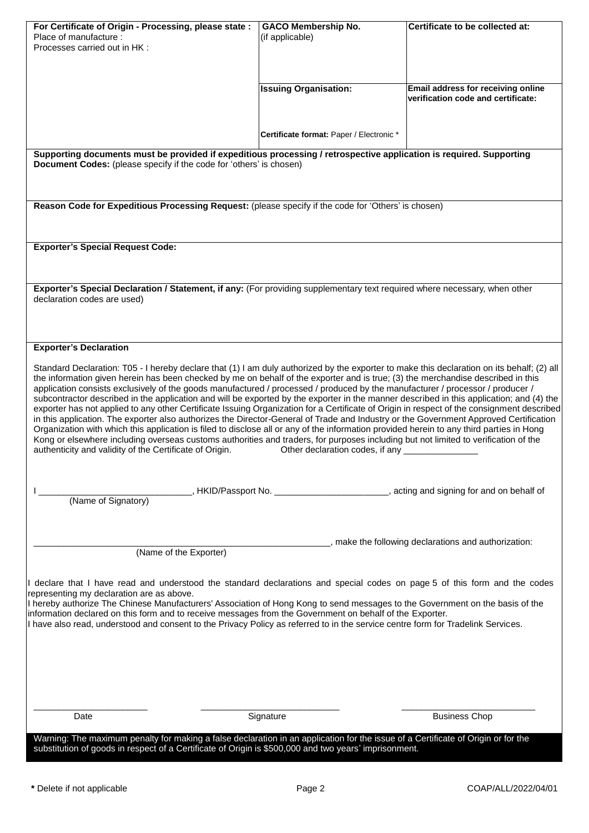| For Certificate of Origin - Processing, please state :<br>Place of manufacture :<br>Processes carried out in HK :                                                                                                                                                                                                                                                                                                                                                                                                                                                                                                                                                                                                                                                                                                                                                                                                                                                                                                                                                                                                                                                                                                                        | <b>GACO Membership No.</b><br>(if applicable)                                          | Certificate to be collected at:                                          |  |  |  |
|------------------------------------------------------------------------------------------------------------------------------------------------------------------------------------------------------------------------------------------------------------------------------------------------------------------------------------------------------------------------------------------------------------------------------------------------------------------------------------------------------------------------------------------------------------------------------------------------------------------------------------------------------------------------------------------------------------------------------------------------------------------------------------------------------------------------------------------------------------------------------------------------------------------------------------------------------------------------------------------------------------------------------------------------------------------------------------------------------------------------------------------------------------------------------------------------------------------------------------------|----------------------------------------------------------------------------------------|--------------------------------------------------------------------------|--|--|--|
|                                                                                                                                                                                                                                                                                                                                                                                                                                                                                                                                                                                                                                                                                                                                                                                                                                                                                                                                                                                                                                                                                                                                                                                                                                          | <b>Issuing Organisation:</b>                                                           | Email address for receiving online<br>verification code and certificate: |  |  |  |
|                                                                                                                                                                                                                                                                                                                                                                                                                                                                                                                                                                                                                                                                                                                                                                                                                                                                                                                                                                                                                                                                                                                                                                                                                                          | Certificate format: Paper / Electronic *                                               |                                                                          |  |  |  |
| Supporting documents must be provided if expeditious processing / retrospective application is required. Supporting<br>Document Codes: (please specify if the code for 'others' is chosen)                                                                                                                                                                                                                                                                                                                                                                                                                                                                                                                                                                                                                                                                                                                                                                                                                                                                                                                                                                                                                                               |                                                                                        |                                                                          |  |  |  |
| Reason Code for Expeditious Processing Request: (please specify if the code for 'Others' is chosen)                                                                                                                                                                                                                                                                                                                                                                                                                                                                                                                                                                                                                                                                                                                                                                                                                                                                                                                                                                                                                                                                                                                                      |                                                                                        |                                                                          |  |  |  |
| <b>Exporter's Special Request Code:</b>                                                                                                                                                                                                                                                                                                                                                                                                                                                                                                                                                                                                                                                                                                                                                                                                                                                                                                                                                                                                                                                                                                                                                                                                  |                                                                                        |                                                                          |  |  |  |
| Exporter's Special Declaration / Statement, if any: (For providing supplementary text required where necessary, when other<br>declaration codes are used)                                                                                                                                                                                                                                                                                                                                                                                                                                                                                                                                                                                                                                                                                                                                                                                                                                                                                                                                                                                                                                                                                |                                                                                        |                                                                          |  |  |  |
| <b>Exporter's Declaration</b>                                                                                                                                                                                                                                                                                                                                                                                                                                                                                                                                                                                                                                                                                                                                                                                                                                                                                                                                                                                                                                                                                                                                                                                                            |                                                                                        |                                                                          |  |  |  |
| Standard Declaration: T05 - I hereby declare that (1) I am duly authorized by the exporter to make this declaration on its behalf; (2) all<br>the information given herein has been checked by me on behalf of the exporter and is true; (3) the merchandise described in this<br>application consists exclusively of the goods manufactured / processed / produced by the manufacturer / processor / producer /<br>subcontractor described in the application and will be exported by the exporter in the manner described in this application; and (4) the<br>exporter has not applied to any other Certificate Issuing Organization for a Certificate of Origin in respect of the consignment described<br>in this application. The exporter also authorizes the Director-General of Trade and Industry or the Government Approved Certification<br>Organization with which this application is filed to disclose all or any of the information provided herein to any third parties in Hong<br>Kong or elsewhere including overseas customs authorities and traders, for purposes including but not limited to verification of the<br>authenticity and validity of the Certificate of Origin.<br>Other declaration codes, if any ___ |                                                                                        |                                                                          |  |  |  |
| (Name of Signatory)                                                                                                                                                                                                                                                                                                                                                                                                                                                                                                                                                                                                                                                                                                                                                                                                                                                                                                                                                                                                                                                                                                                                                                                                                      | _, HKID/Passport No. ________________________, acting and signing for and on behalf of |                                                                          |  |  |  |
| , make the following declarations and authorization:<br>(Name of the Exporter)                                                                                                                                                                                                                                                                                                                                                                                                                                                                                                                                                                                                                                                                                                                                                                                                                                                                                                                                                                                                                                                                                                                                                           |                                                                                        |                                                                          |  |  |  |
| declare that I have read and understood the standard declarations and special codes on page 5 of this form and the codes<br>representing my declaration are as above.<br>I hereby authorize The Chinese Manufacturers' Association of Hong Kong to send messages to the Government on the basis of the<br>information declared on this form and to receive messages from the Government on behalf of the Exporter.<br>I have also read, understood and consent to the Privacy Policy as referred to in the service centre form for Tradelink Services.                                                                                                                                                                                                                                                                                                                                                                                                                                                                                                                                                                                                                                                                                   |                                                                                        |                                                                          |  |  |  |
| Date                                                                                                                                                                                                                                                                                                                                                                                                                                                                                                                                                                                                                                                                                                                                                                                                                                                                                                                                                                                                                                                                                                                                                                                                                                     | Signature                                                                              | <b>Business Chop</b>                                                     |  |  |  |
| Warning: The maximum penalty for making a false declaration in an application for the issue of a Certificate of Origin or for the<br>substitution of goods in respect of a Certificate of Origin is \$500,000 and two years' imprisonment.                                                                                                                                                                                                                                                                                                                                                                                                                                                                                                                                                                                                                                                                                                                                                                                                                                                                                                                                                                                               |                                                                                        |                                                                          |  |  |  |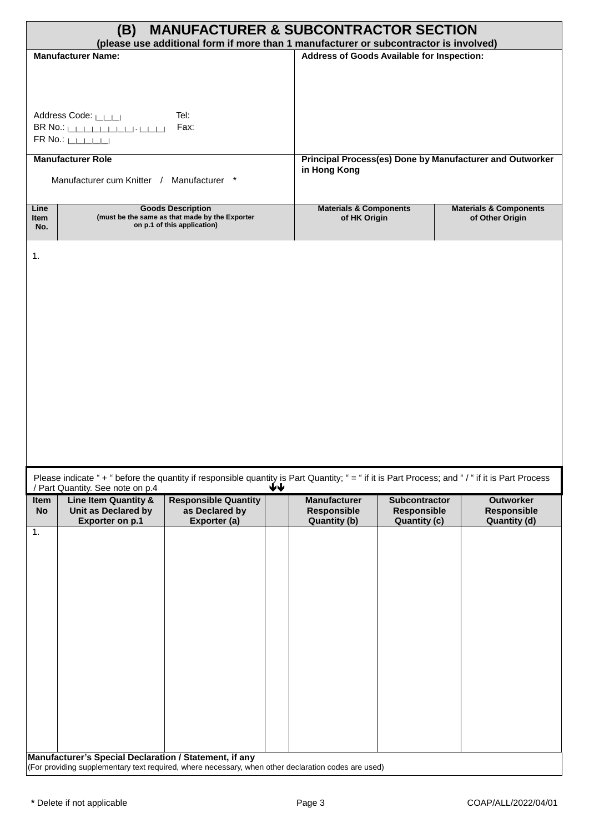| <b>MANUFACTURER &amp; SUBCONTRACTOR SECTION</b><br>(B)<br>(please use additional form if more than 1 manufacturer or subcontractor is involved)                     |                                                                                                           |                                                           |                                                     |                                                          |                                                               |
|---------------------------------------------------------------------------------------------------------------------------------------------------------------------|-----------------------------------------------------------------------------------------------------------|-----------------------------------------------------------|-----------------------------------------------------|----------------------------------------------------------|---------------------------------------------------------------|
| <b>Manufacturer Name:</b>                                                                                                                                           |                                                                                                           | Address of Goods Available for Inspection:                |                                                     |                                                          |                                                               |
| Address Code: LILLI<br>$FR$ No.: $\Box$                                                                                                                             | Tel:<br>Fax:                                                                                              |                                                           |                                                     |                                                          |                                                               |
| <b>Manufacturer Role</b><br>Manufacturer cum Knitter / Manufacturer *                                                                                               | in Hong Kong                                                                                              |                                                           |                                                     | Principal Process(es) Done by Manufacturer and Outworker |                                                               |
| Line<br>Item<br>No.                                                                                                                                                 | <b>Goods Description</b><br>(must be the same as that made by the Exporter<br>on p.1 of this application) | <b>Materials &amp; Components</b><br>of HK Origin         |                                                     |                                                          | <b>Materials &amp; Components</b><br>of Other Origin          |
| 1.<br>Please indicate "+ " before the quantity if responsible quantity is Part Quantity; " = " if it is Part Process; and "/ " if it is Part Process                | ↓↓                                                                                                        |                                                           |                                                     |                                                          |                                                               |
| / Part Quantity. See note on p.4<br>Line Item Quantity &<br>Item<br>Unit as Declared by<br><b>No</b><br><b>Exporter on p.1</b>                                      | <b>Responsible Quantity</b><br>as Declared by<br>Exporter (a)                                             | <b>Manufacturer</b><br>Responsible<br><b>Quantity (b)</b> | Subcontractor<br>Responsible<br><b>Quantity (c)</b> |                                                          | <b>Outworker</b><br><b>Responsible</b><br><b>Quantity (d)</b> |
| 1.<br>Manufacturer's Special Declaration / Statement, if any<br>(For providing supplementary text required, where necessary, when other declaration codes are used) |                                                                                                           |                                                           |                                                     |                                                          |                                                               |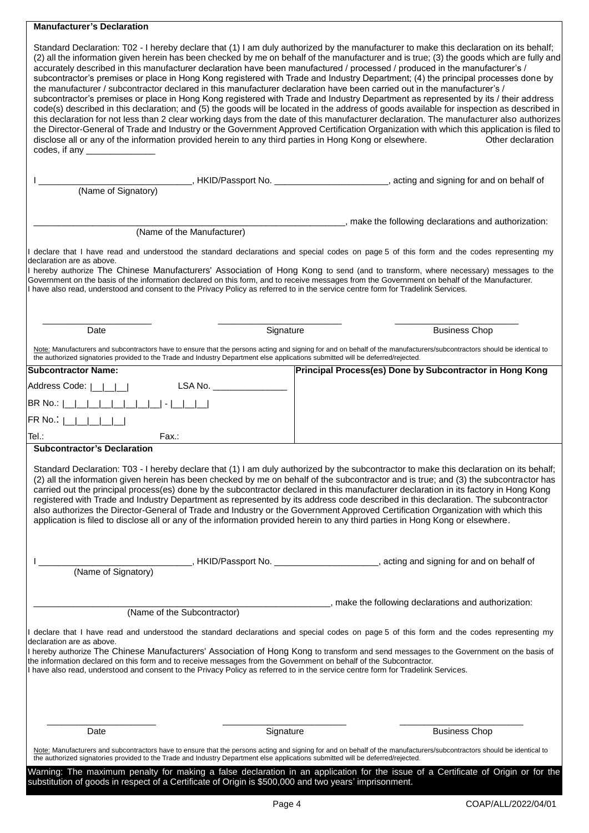# **Manufacturer's Declaration**

| accurately described in this manufacturer declaration have been manufactured / processed / produced in the manufacturer's /<br>the manufacturer / subcontractor declared in this manufacturer declaration have been carried out in the manufacturer's /<br>disclose all or any of the information provided herein to any third parties in Hong Kong or elsewhere.<br>codes, if any $\frac{1}{2}$ codes, if any $\frac{1}{2}$ |           | Standard Declaration: T02 - I hereby declare that (1) I am duly authorized by the manufacturer to make this declaration on its behalf;<br>(2) all the information given herein has been checked by me on behalf of the manufacturer and is true; (3) the goods which are fully and<br>subcontractor's premises or place in Hong Kong registered with Trade and Industry Department; (4) the principal processes done by<br>subcontractor's premises or place in Hong Kong registered with Trade and Industry Department as represented by its / their address<br>code(s) described in this declaration; and (5) the goods will be located in the address of goods available for inspection as described in<br>this declaration for not less than 2 clear working days from the date of this manufacturer declaration. The manufacturer also authorizes<br>the Director-General of Trade and Industry or the Government Approved Certification Organization with which this application is filed to<br>Other declaration |
|------------------------------------------------------------------------------------------------------------------------------------------------------------------------------------------------------------------------------------------------------------------------------------------------------------------------------------------------------------------------------------------------------------------------------|-----------|-------------------------------------------------------------------------------------------------------------------------------------------------------------------------------------------------------------------------------------------------------------------------------------------------------------------------------------------------------------------------------------------------------------------------------------------------------------------------------------------------------------------------------------------------------------------------------------------------------------------------------------------------------------------------------------------------------------------------------------------------------------------------------------------------------------------------------------------------------------------------------------------------------------------------------------------------------------------------------------------------------------------------|
| (Name of Signatory)                                                                                                                                                                                                                                                                                                                                                                                                          |           | __________, HKID/Passport No. _______________________, acting and signing for and on behalf of                                                                                                                                                                                                                                                                                                                                                                                                                                                                                                                                                                                                                                                                                                                                                                                                                                                                                                                          |
|                                                                                                                                                                                                                                                                                                                                                                                                                              |           |                                                                                                                                                                                                                                                                                                                                                                                                                                                                                                                                                                                                                                                                                                                                                                                                                                                                                                                                                                                                                         |
| (Name of the Manufacturer)                                                                                                                                                                                                                                                                                                                                                                                                   |           | ________, make the following declarations and authorization:                                                                                                                                                                                                                                                                                                                                                                                                                                                                                                                                                                                                                                                                                                                                                                                                                                                                                                                                                            |
|                                                                                                                                                                                                                                                                                                                                                                                                                              |           |                                                                                                                                                                                                                                                                                                                                                                                                                                                                                                                                                                                                                                                                                                                                                                                                                                                                                                                                                                                                                         |
| declaration are as above.                                                                                                                                                                                                                                                                                                                                                                                                    |           | I declare that I have read and understood the standard declarations and special codes on page 5 of this form and the codes representing my                                                                                                                                                                                                                                                                                                                                                                                                                                                                                                                                                                                                                                                                                                                                                                                                                                                                              |
| Government on the basis of the information declared on this form, and to receive messages from the Government on behalf of the Manufacturer.<br>I have also read, understood and consent to the Privacy Policy as referred to in the service centre form for Tradelink Services.                                                                                                                                             |           | I hereby authorize The Chinese Manufacturers' Association of Hong Kong to send (and to transform, where necessary) messages to the                                                                                                                                                                                                                                                                                                                                                                                                                                                                                                                                                                                                                                                                                                                                                                                                                                                                                      |
| Date                                                                                                                                                                                                                                                                                                                                                                                                                         | Signature | <b>Business Chop</b>                                                                                                                                                                                                                                                                                                                                                                                                                                                                                                                                                                                                                                                                                                                                                                                                                                                                                                                                                                                                    |
| the authorized signatories provided to the Trade and Industry Department else applications submitted will be deferred/rejected.                                                                                                                                                                                                                                                                                              |           | Note: Manufacturers and subcontractors have to ensure that the persons acting and signing for and on behalf of the manufacturers/subcontractors should be identical to                                                                                                                                                                                                                                                                                                                                                                                                                                                                                                                                                                                                                                                                                                                                                                                                                                                  |
| <b>Subcontractor Name:</b>                                                                                                                                                                                                                                                                                                                                                                                                   |           | Principal Process(es) Done by Subcontractor in Hong Kong                                                                                                                                                                                                                                                                                                                                                                                                                                                                                                                                                                                                                                                                                                                                                                                                                                                                                                                                                                |
| Address Code:    <br>LSA No. __________                                                                                                                                                                                                                                                                                                                                                                                      |           |                                                                                                                                                                                                                                                                                                                                                                                                                                                                                                                                                                                                                                                                                                                                                                                                                                                                                                                                                                                                                         |
| BR No.:                                                                                                                                                                                                                                                                                                                                                                                                                      |           |                                                                                                                                                                                                                                                                                                                                                                                                                                                                                                                                                                                                                                                                                                                                                                                                                                                                                                                                                                                                                         |
| FR No.:                                                                                                                                                                                                                                                                                                                                                                                                                      |           |                                                                                                                                                                                                                                                                                                                                                                                                                                                                                                                                                                                                                                                                                                                                                                                                                                                                                                                                                                                                                         |
| Tel.:<br>Fax.:                                                                                                                                                                                                                                                                                                                                                                                                               |           |                                                                                                                                                                                                                                                                                                                                                                                                                                                                                                                                                                                                                                                                                                                                                                                                                                                                                                                                                                                                                         |
| application is filed to disclose all or any of the information provided herein to any third parties in Hong Kong or elsewhere.                                                                                                                                                                                                                                                                                               |           | Standard Declaration: T03 - I hereby declare that (1) I am duly authorized by the subcontractor to make this declaration on its behalf;<br>(2) all the information given herein has been checked by me on behalf of the subcontractor and is true; and (3) the subcontractor has<br>carried out the principal process(es) done by the subcontractor declared in this manufacturer declaration in its factory in Hong Kong<br>registered with Trade and Industry Department as represented by its address code described in this declaration. The subcontractor<br>also authorizes the Director-General of Trade and Industry or the Government Approved Certification Organization with which this                                                                                                                                                                                                                                                                                                                      |
|                                                                                                                                                                                                                                                                                                                                                                                                                              |           | _, HKID/Passport No. _______________________, acting and signing for and on behalf of                                                                                                                                                                                                                                                                                                                                                                                                                                                                                                                                                                                                                                                                                                                                                                                                                                                                                                                                   |
| (Name of Signatory)                                                                                                                                                                                                                                                                                                                                                                                                          |           |                                                                                                                                                                                                                                                                                                                                                                                                                                                                                                                                                                                                                                                                                                                                                                                                                                                                                                                                                                                                                         |
|                                                                                                                                                                                                                                                                                                                                                                                                                              |           |                                                                                                                                                                                                                                                                                                                                                                                                                                                                                                                                                                                                                                                                                                                                                                                                                                                                                                                                                                                                                         |
| (Name of the Subcontractor)                                                                                                                                                                                                                                                                                                                                                                                                  |           | _, make the following declarations and authorization:                                                                                                                                                                                                                                                                                                                                                                                                                                                                                                                                                                                                                                                                                                                                                                                                                                                                                                                                                                   |
| declaration are as above.<br>the information declared on this form and to receive messages from the Government on behalf of the Subcontractor.<br>I have also read, understood and consent to the Privacy Policy as referred to in the service centre form for Tradelink Services.                                                                                                                                           |           | I declare that I have read and understood the standard declarations and special codes on page 5 of this form and the codes representing my<br>I hereby authorize The Chinese Manufacturers' Association of Hong Kong to transform and send messages to the Government on the basis of                                                                                                                                                                                                                                                                                                                                                                                                                                                                                                                                                                                                                                                                                                                                   |
| Date                                                                                                                                                                                                                                                                                                                                                                                                                         | Signature | <b>Business Chop</b>                                                                                                                                                                                                                                                                                                                                                                                                                                                                                                                                                                                                                                                                                                                                                                                                                                                                                                                                                                                                    |
|                                                                                                                                                                                                                                                                                                                                                                                                                              |           |                                                                                                                                                                                                                                                                                                                                                                                                                                                                                                                                                                                                                                                                                                                                                                                                                                                                                                                                                                                                                         |
| the authorized signatories provided to the Trade and Industry Department else applications submitted will be deferred/rejected.                                                                                                                                                                                                                                                                                              |           | Note: Manufacturers and subcontractors have to ensure that the persons acting and signing for and on behalf of the manufacturers/subcontractors should be identical to                                                                                                                                                                                                                                                                                                                                                                                                                                                                                                                                                                                                                                                                                                                                                                                                                                                  |
| substitution of goods in respect of a Certificate of Origin is \$500,000 and two years' imprisonment.                                                                                                                                                                                                                                                                                                                        |           | Warning: The maximum penalty for making a false declaration in an application for the issue of a Certificate of Origin or for the                                                                                                                                                                                                                                                                                                                                                                                                                                                                                                                                                                                                                                                                                                                                                                                                                                                                                       |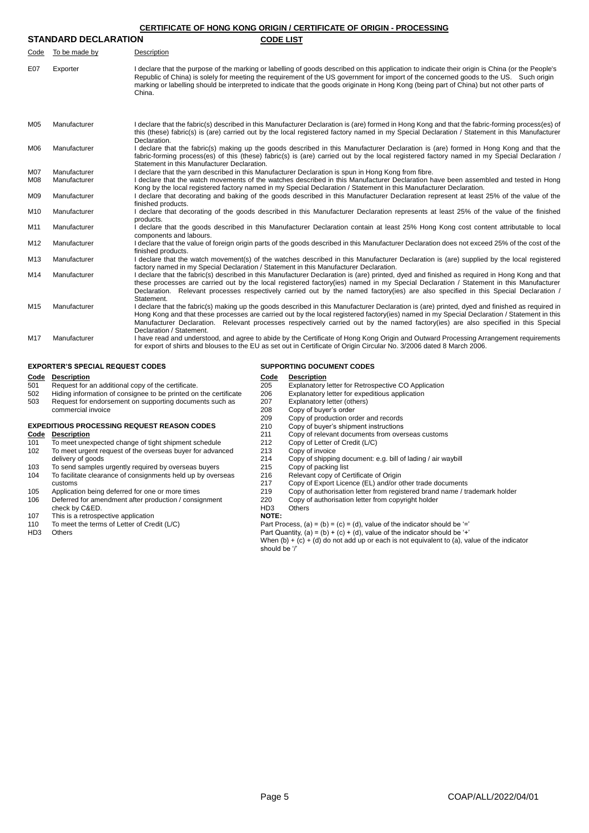## **CERTIFICATE OF HONG KONG ORIGIN / CERTIFICATE OF ORIGIN - PROCESSING**

| <b>STANDARD DECLARATION</b> |               | <b>CODE LIST</b>                                                                                                                                                                                                                                                                           |
|-----------------------------|---------------|--------------------------------------------------------------------------------------------------------------------------------------------------------------------------------------------------------------------------------------------------------------------------------------------|
| Code                        | To be made by | Description                                                                                                                                                                                                                                                                                |
| E07                         | Exporter      | I declare that the purpose of the marking or labelling of goods described on this application to indicate their origin is China (or the People's<br>Republic of China) is solely for meeting the requirement of the US government for import of the concerned goods to the US. Such origin |

|     |              | marking or labelling should be interpreted to indicate that the goods originate in Hong Kong (being part of China) but not other parts of<br>China.                                                                                                                                                                                                                                                                                                             |
|-----|--------------|-----------------------------------------------------------------------------------------------------------------------------------------------------------------------------------------------------------------------------------------------------------------------------------------------------------------------------------------------------------------------------------------------------------------------------------------------------------------|
| M05 | Manufacturer | I declare that the fabric(s) described in this Manufacturer Declaration is (are) formed in Hong Kong and that the fabric-forming process(es) of<br>this (these) fabric(s) is (are) carried out by the local registered factory named in my Special Declaration / Statement in this Manufacturer<br>Declaration.                                                                                                                                                 |
| M06 | Manufacturer | I declare that the fabric(s) making up the goods described in this Manufacturer Declaration is (are) formed in Hong Kong and that the<br>fabric-forming process(es) of this (these) fabric(s) is (are) carried out by the local registered factory named in my Special Declaration /<br>Statement in this Manufacturer Declaration.                                                                                                                             |
| M07 | Manufacturer | I declare that the yarn described in this Manufacturer Declaration is spun in Hong Kong from fibre.                                                                                                                                                                                                                                                                                                                                                             |
| M08 | Manufacturer | I declare that the watch movements of the watches described in this Manufacturer Declaration have been assembled and tested in Hong<br>Kong by the local registered factory named in my Special Declaration / Statement in this Manufacturer Declaration.                                                                                                                                                                                                       |
| M09 | Manufacturer | I declare that decorating and baking of the goods described in this Manufacturer Declaration represent at least 25% of the value of the<br>finished products.                                                                                                                                                                                                                                                                                                   |
| M10 | Manufacturer | I declare that decorating of the goods described in this Manufacturer Declaration represents at least 25% of the value of the finished<br>products.                                                                                                                                                                                                                                                                                                             |
| M11 | Manufacturer | declare that the goods described in this Manufacturer Declaration contain at least 25% Hong Kong cost content attributable to local<br>components and labours.                                                                                                                                                                                                                                                                                                  |
| M12 | Manufacturer | I declare that the value of foreign origin parts of the goods described in this Manufacturer Declaration does not exceed 25% of the cost of the<br>finished products.                                                                                                                                                                                                                                                                                           |
| M13 | Manufacturer | I declare that the watch movement(s) of the watches described in this Manufacturer Declaration is (are) supplied by the local registered<br>factory named in my Special Declaration / Statement in this Manufacturer Declaration.                                                                                                                                                                                                                               |
| M14 | Manufacturer | I declare that the fabric(s) described in this Manufacturer Declaration is (are) printed, dyed and finished as required in Hong Kong and that<br>these processes are carried out by the local registered factory(ies) named in my Special Declaration / Statement in this Manufacturer<br>Declaration. Relevant processes respectively carried out by the named factory(ies) are also specified in this Special Declaration /<br>Statement.                     |
| M15 | Manufacturer | I declare that the fabric(s) making up the goods described in this Manufacturer Declaration is (are) printed, dyed and finished as required in<br>Hong Kong and that these processes are carried out by the local registered factory(ies) named in my Special Declaration / Statement in this<br>Manufacturer Declaration. Relevant processes respectively carried out by the named factory(ies) are also specified in this Special<br>Declaration / Statement. |
| M17 | Manufacturer | I have read and understood, and agree to abide by the Certificate of Hong Kong Origin and Outward Processing Arrangement requirements<br>for export of shirts and blouses to the EU as set out in Certificate of Origin Circular No. 3/2006 dated 8 March 2006.                                                                                                                                                                                                 |

## **EXPORTER'S SPECIAL REQUEST CODES SUPPORTING DOCUMENT CODES**

| <b>Code</b>     | <b>Description</b>                                               | <u>Code</u>                                                                                   | <b>Description</b>                                                         |  |
|-----------------|------------------------------------------------------------------|-----------------------------------------------------------------------------------------------|----------------------------------------------------------------------------|--|
| 501             | Request for an additional copy of the certificate.               | 205                                                                                           | Explanatory letter for Retrospective CO Application                        |  |
| 502             | Hiding information of consignee to be printed on the certificate | 206                                                                                           | Explanatory letter for expeditious application                             |  |
| 503             | Request for endorsement on supporting documents such as          | 207                                                                                           | Explanatory letter (others)                                                |  |
|                 | commercial invoice                                               | 208                                                                                           | Copy of buyer's order                                                      |  |
|                 |                                                                  | 209                                                                                           | Copy of production order and records                                       |  |
|                 | <b>EXPEDITIOUS PROCESSING REQUEST REASON CODES</b>               | 210                                                                                           | Copy of buyer's shipment instructions                                      |  |
| Code            | <b>Description</b>                                               | 211                                                                                           | Copy of relevant documents from overseas customs                           |  |
| 101             | To meet unexpected change of tight shipment schedule             | 212                                                                                           | Copy of Letter of Credit (L/C)                                             |  |
| 102             | To meet urgent request of the overseas buyer for advanced        | 213                                                                                           | Copy of invoice                                                            |  |
|                 | delivery of goods                                                | 214                                                                                           | Copy of shipping document: e.g. bill of lading / air waybill               |  |
| 103             | To send samples urgently required by overseas buyers             | 215                                                                                           | Copy of packing list                                                       |  |
| 104             | To facilitate clearance of consignments held up by overseas      | 216                                                                                           | Relevant copy of Certificate of Origin                                     |  |
|                 | customs                                                          | 217                                                                                           | Copy of Export Licence (EL) and/or other trade documents                   |  |
| 105             | Application being deferred for one or more times                 | 219                                                                                           | Copy of authorisation letter from registered brand name / trademark holder |  |
| 106             | Deferred for amendment after production / consignment            | 220                                                                                           | Copy of authorisation letter from copyright holder                         |  |
|                 | check by C&ED.                                                   | HD <sub>3</sub>                                                                               | Others                                                                     |  |
| 107             | This is a retrospective application                              | NOTE:                                                                                         |                                                                            |  |
| 110             | To meet the terms of Letter of Credit (L/C)                      | Part Process, (a) = (b) = (c) = (d), value of the indicator should be $=$                     |                                                                            |  |
| HD <sub>3</sub> | Others                                                           | Part Quantity, (a) = (b) + (c) + (d), value of the indicator should be '+'                    |                                                                            |  |
|                 |                                                                  | When $(b) + (c) + (d)$ do not add up or each is not equivalent to (a), value of the indicator |                                                                            |  |
|                 |                                                                  | should be '/'                                                                                 |                                                                            |  |
|                 |                                                                  |                                                                                               |                                                                            |  |
|                 |                                                                  |                                                                                               |                                                                            |  |